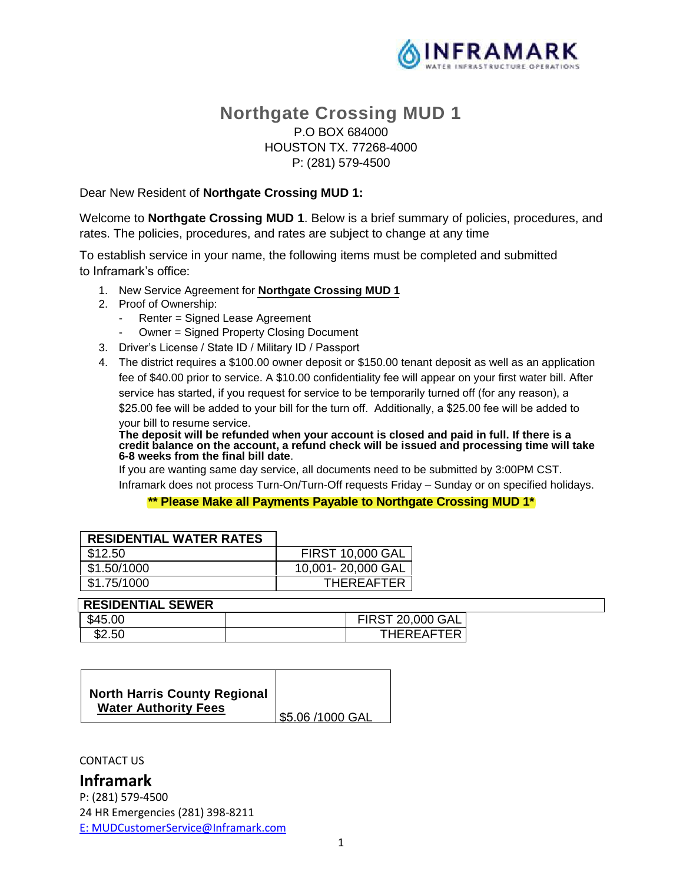

# **Northgate Crossing MUD 1** P.O BOX 684000 HOUSTON TX. 77268-4000 P: (281) 579-4500

Dear New Resident of **Northgate Crossing MUD 1:**

Welcome to **Northgate Crossing MUD 1**. Below is a brief summary of policies, procedures, and rates. The policies, procedures, and rates are subject to change at any time

To establish service in your name, the following items must be completed and submitted to Inframark's office:

- 1. New Service Agreement for **Northgate Crossing MUD 1**
- 2. Proof of Ownership:
	- Renter = Signed Lease Agreement
	- Owner = Signed Property Closing Document
- 3. Driver's License / State ID / Military ID / Passport
- 4. The district requires a \$100.00 owner deposit or \$150.00 tenant deposit as well as an application fee of \$40.00 prior to service. A \$10.00 confidentiality fee will appear on your first water bill. After service has started, if you request for service to be temporarily turned off (for any reason), a \$25.00 fee will be added to your bill for the turn off. Additionally, a \$25.00 fee will be added to your bill to resume service.

**The deposit will be refunded when your account is closed and paid in full. If there is a credit balance on the account, a refund check will be issued and processing time will take 6-8 weeks from the final bill date**.

 If you are wanting same day service, all documents need to be submitted by 3:00PM CST. Inframark does not process Turn-On/Turn-Off requests Friday – Sunday or on specified holidays.

**\*\* Please Make all Payments Payable to Northgate Crossing MUD 1\***

| <b>RESIDENTIAL WATER RATES</b> |                         |
|--------------------------------|-------------------------|
| \$12.50                        | <b>FIRST 10,000 GAL</b> |
| \$1.50/1000                    | 10,001-20,000 GAL       |
| \$1.75/1000                    | <b>THEREAFTER</b>       |

#### **RESIDENTIAL SEWER**

| $^{\circ}$<br>\$45.00 | ST 20,000 GAL |  |
|-----------------------|---------------|--|
| \$2.50                | THEREAFTER    |  |

|  | <b>North Harris County Regional</b><br><b>Water Authority Fees</b> | 55.06 /1000 GAL! |
|--|--------------------------------------------------------------------|------------------|
|--|--------------------------------------------------------------------|------------------|

CONTACT US

# **Inframark**

P: (281) 579-4500 24 HR Emergencies (281) 398-8211 E: MUDCustomerService@Inframark.com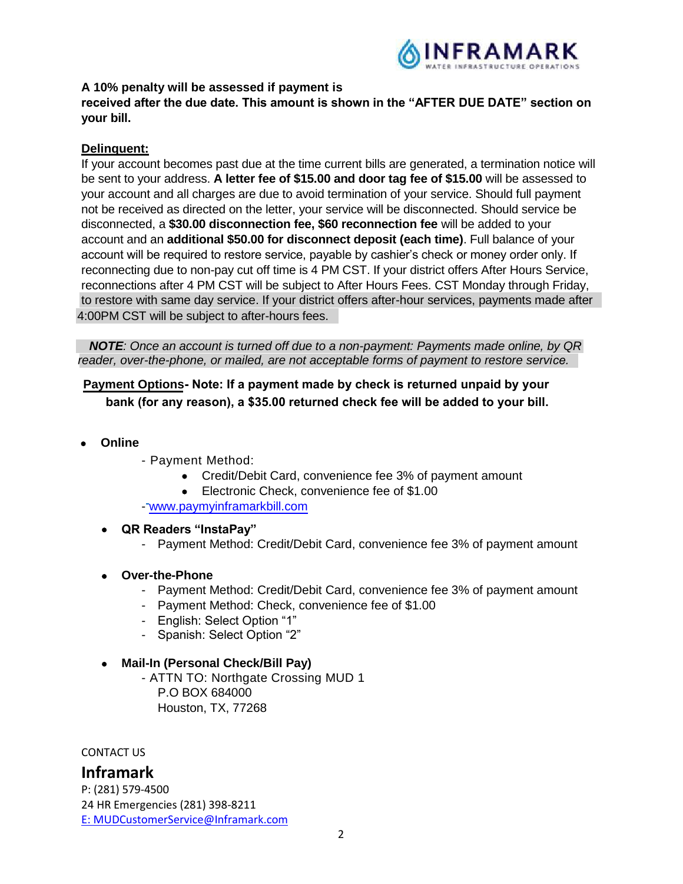

## **A 10% penalty will be assessed if payment is**

**received after the due date. This amount is shown in the "AFTER DUE DATE" section on your bill.**

## **Delinquent:**

If your account becomes past due at the time current bills are generated, a termination notice will be sent to your address. **A letter fee of \$15.00 and door tag fee of \$15.00** will be assessed to your account and all charges are due to avoid termination of your service. Should full payment not be received as directed on the letter, your service will be disconnected. Should service be disconnected, a **\$30.00 disconnection fee, \$60 reconnection fee** will be added to your account and an **additional \$50.00 for disconnect deposit (each time)**. Full balance of your account will be required to restore service, payable by cashier's check or money order only. If reconnecting due to non-pay cut off time is 4 PM CST. If your district offers After Hours Service, reconnections after 4 PM CST will be subject to After Hours Fees. CST Monday through Friday, to restore with same day service. If your district offers after-hour services, payments made after 4:00PM CST will be subject to after-hours fees.

*NOTE: Once an account is turned off due to a non-payment: Payments made online, by QR reader, over-the-phone, or mailed, are not acceptable forms of payment to restore service.* 

## **Payment Options Note: If a payment made by check is returned unpaid by your bank (for any reason), a \$35.00 returned check fee will be added to your bill.**

- **Online** 
	- Payment Method:
		- Credit/Debit Card, convenience fee 3% of payment amount
		- Electronic Check, convenience fee of \$1.00
	- www.paymyinframarkbill.com
	- **QR Readers "InstaPay"**
		- Payment Method: Credit/Debit Card, convenience fee 3% of payment amount
	- **Over-the-Phone**
		- Payment Method: Credit/Debit Card, convenience fee 3% of payment amount
		- Payment Method: Check, convenience fee of \$1.00
		- English: Select Option "1"
		- Spanish: Select Option "2"

### **Mail-In (Personal Check/Bill Pay)**

- ATTN TO: Northgate Crossing MUD 1 P.O BOX 684000 Houston, TX, 77268

CONTACT US

## **Inframark**

P: (281) 579-4500 24 HR Emergencies (281) 398-8211 E: MUDCustomerService@Inframark.com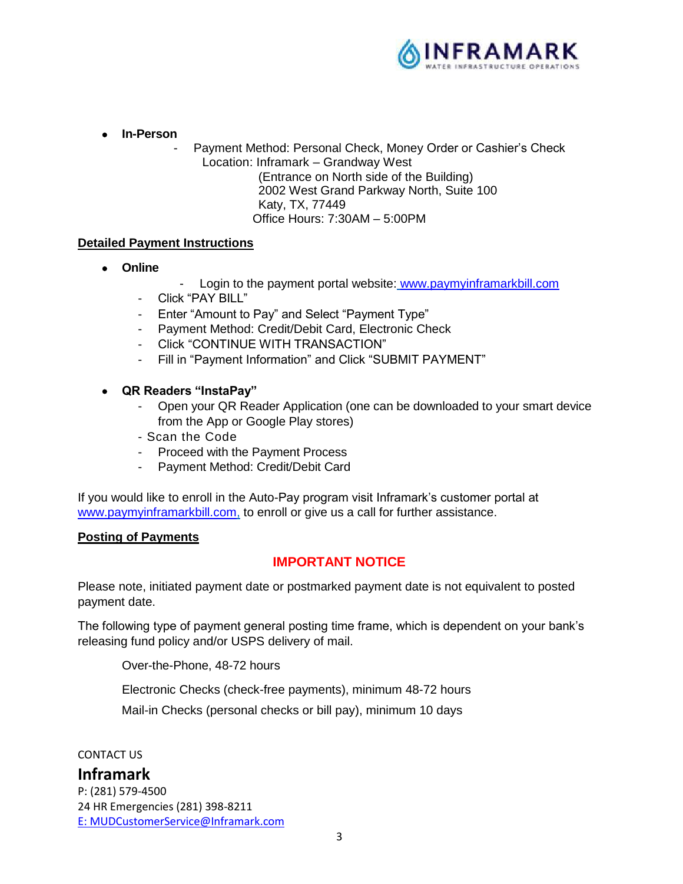

**In-Person**

Payment Method: Personal Check, Money Order or Cashier's Check Location: Inframark – Grandway West (Entrance on North side of the Building) 2002 West Grand Parkway North, Suite 100 Katy, TX, 77449 Office Hours: 7:30AM – 5:00PM

## **Detailed Payment Instructions**

- **Online**
- Login to the payment portal website: www.paymyinframarkbill.com
- Click "PAY BILL"
- Enter "Amount to Pay" and Select "Payment Type"
- Payment Method: Credit/Debit Card, Electronic Check
- Click "CONTINUE WITH TRANSACTION"
- Fill in "Payment Information" and Click "SUBMIT PAYMENT"
- **QR Readers "InstaPay"**
	- Open your QR Reader Application (one can be downloaded to your smart device from the App or Google Play stores)
	- Scan the Code
	- Proceed with the Payment Process
	- Payment Method: Credit/Debit Card

If you would like to enroll in the Auto-Pay program visit Inframark's customer portal at www.paymyinframarkbill.com, to enroll or give us a call for further assistance.

### **Posting of Payments**

## **IMPORTANT NOTICE**

Please note, initiated payment date or postmarked payment date is not equivalent to posted payment date.

The following type of payment general posting time frame, which is dependent on your bank's releasing fund policy and/or USPS delivery of mail.

Over-the-Phone, 48-72 hours

Electronic Checks (check-free payments), minimum 48-72 hours

Mail-in Checks (personal checks or bill pay), minimum 10 days

CONTACT US

## **Inframark**

P: (281) 579-4500 24 HR Emergencies (281) 398-8211 E: MUDCustomerService@Inframark.com